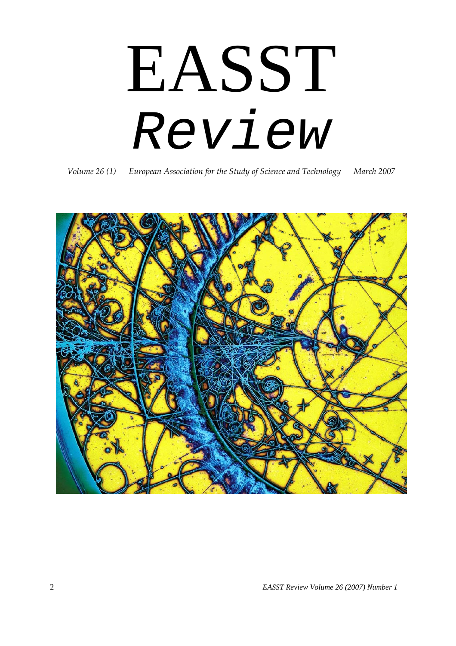# EASST *Review*

*Volume 26 (1) European Association for the Study of Science and Technology March 2007*

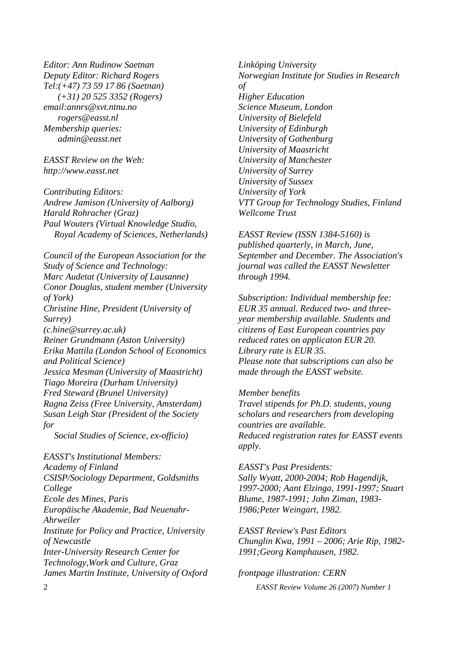*Editor: Ann Rudinow Saetnan Deputy Editor: Richard Rogers Tel:(+47) 73 59 17 86 (Saetnan) (+31) 20 525 3352 (Rogers) email:annrs@svt.ntnu.no rogers@easst.nl Membership queries: admin@easst.net* 

*EASST Review on the Web: http://www.easst.net* 

*Contributing Editors: Andrew Jamison (University of Aalborg) Harald Rohracher (Graz) Paul Wouters (Virtual Knowledge Studio, Royal Academy of Sciences, Netherlands)* 

*Council of the European Association for the Study of Science and Technology: Marc Audetat (University of Lausanne) Conor Douglas, student member (University of York) Christine Hine, President (University of Surrey) (c.hine@surrey.ac.uk) Reiner Grundmann (Aston University) Erika Mattila (London School of Economics and Political Science) Jessica Mesman (University of Maastricht) Tiago Moreira (Durham University) Fred Steward (Brunel University) Ragna Zeiss (Free University, Amsterdam) Susan Leigh Star (President of the Society for* 

*Social Studies of Science, ex-officio)* 

*EASST's Institutional Members: Academy of Finland CSISP/Sociology Department, Goldsmiths College Ecole des Mines, Paris Europäische Akademie, Bad Neuenahr-Ahrweiler Institute for Policy and Practice, University of Newcastle Inter-University Research Center for Technology,Work and Culture, Graz James Martin Institute, University of Oxford* 

*Linköping University Norwegian Institute for Studies in Research of Higher Education Science Museum, London University of Bielefeld University of Edinburgh University of Gothenburg University of Maastricht University of Manchester University of Surrey University of Sussex University of York VTT Group for Technology Studies, Finland Wellcome Trust* 

*EASST Review (ISSN 1384-5160) is published quarterly, in March, June, September and December. The Association's journal was called the EASST Newsletter through 1994.* 

*Subscription: Individual membership fee: EUR 35 annual. Reduced two- and threeyear membership available. Students and citizens of East European countries pay reduced rates on applicaton EUR 20. Library rate is EUR 35. Please note that subscriptions can also be made through the EASST website.* 

*Member benefits Travel stipends for Ph.D. students, young scholars and researchers from developing countries are available. Reduced registration rates for EASST events apply.* 

*EASST's Past Presidents: Sally Wyatt, 2000-2004; Rob Hagendijk, 1997-2000; Aant Elzinga, 1991-1997; Stuart Blume, 1987-1991; John Ziman, 1983- 1986;Peter Weingart, 1982.* 

*EASST Review's Past Editors Chunglin Kwa, 1991 – 2006; Arie Rip, 1982- 1991;Georg Kamphausen, 1982.* 

*frontpage illustration: CERN*

2 *EASST Review Volume 26 (2007) Number 1*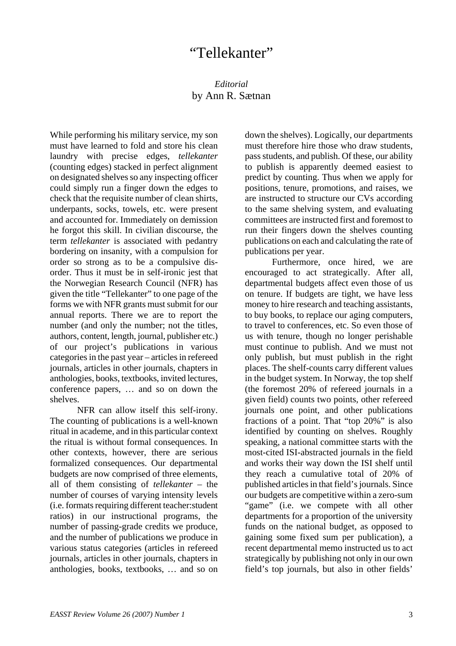#### *Editorial*  by Ann R. Sætnan

While performing his military service, my son must have learned to fold and store his clean laundry with precise edges, *tellekanter* (counting edges) stacked in perfect alignment on designated shelves so any inspecting officer could simply run a finger down the edges to check that the requisite number of clean shirts, underpants, socks, towels, etc. were present and accounted for. Immediately on demission he forgot this skill. In civilian discourse, the term *tellekanter* is associated with pedantry bordering on insanity, with a compulsion for order so strong as to be a compulsive disorder. Thus it must be in self-ironic jest that the Norwegian Research Council (NFR) has given the title "Tellekanter" to one page of the forms we with NFR grants must submit for our annual reports. There we are to report the number (and only the number; not the titles, authors, content, length, journal, publisher etc.) of our project's publications in various categories in the past year – articles in refereed journals, articles in other journals, chapters in anthologies, books, textbooks, invited lectures, conference papers, … and so on down the shelves.

NFR can allow itself this self-irony. The counting of publications is a well-known ritual in academe, and in this particular context the ritual is without formal consequences. In other contexts, however, there are serious formalized consequences. Our departmental budgets are now comprised of three elements, all of them consisting of *tellekanter* – the number of courses of varying intensity levels (i.e. formats requiring different teacher:student ratios) in our instructional programs, the number of passing-grade credits we produce, and the number of publications we produce in various status categories (articles in refereed journals, articles in other journals, chapters in anthologies, books, textbooks, … and so on

down the shelves). Logically, our departments must therefore hire those who draw students, pass students, and publish. Of these, our ability to publish is apparently deemed easiest to predict by counting. Thus when we apply for positions, tenure, promotions, and raises, we are instructed to structure our CVs according to the same shelving system, and evaluating committees are instructed first and foremost to run their fingers down the shelves counting publications on each and calculating the rate of publications per year.

Furthermore, once hired, we are encouraged to act strategically. After all, departmental budgets affect even those of us on tenure. If budgets are tight, we have less money to hire research and teaching assistants, to buy books, to replace our aging computers, to travel to conferences, etc. So even those of us with tenure, though no longer perishable must continue to publish. And we must not only publish, but must publish in the right places. The shelf-counts carry different values in the budget system. In Norway, the top shelf (the foremost 20% of refereed journals in a given field) counts two points, other refereed journals one point, and other publications fractions of a point. That "top 20%" is also identified by counting on shelves. Roughly speaking, a national committee starts with the most-cited ISI-abstracted journals in the field and works their way down the ISI shelf until they reach a cumulative total of 20% of published articles in that field's journals. Since our budgets are competitive within a zero-sum "game" (i.e. we compete with all other departments for a proportion of the university funds on the national budget, as opposed to gaining some fixed sum per publication), a recent departmental memo instructed us to act strategically by publishing not only in our own field's top journals, but also in other fields'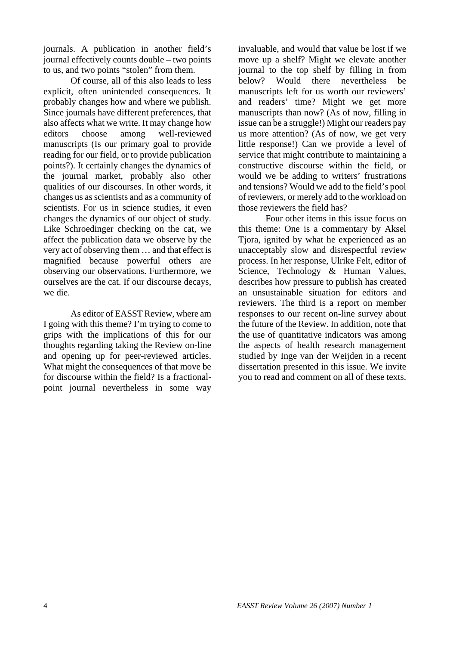journals. A publication in another field's journal effectively counts double – two points to us, and two points "stolen" from them.

Of course, all of this also leads to less explicit, often unintended consequences. It probably changes how and where we publish. Since journals have different preferences, that also affects what we write. It may change how editors choose among well-reviewed manuscripts (Is our primary goal to provide reading for our field, or to provide publication points?). It certainly changes the dynamics of the journal market, probably also other qualities of our discourses. In other words, it changes us as scientists and as a community of scientists. For us in science studies, it even changes the dynamics of our object of study. Like Schroedinger checking on the cat, we affect the publication data we observe by the very act of observing them … and that effect is magnified because powerful others are observing our observations. Furthermore, we ourselves are the cat. If our discourse decays, we die.

As editor of EASST Review, where am I going with this theme? I'm trying to come to grips with the implications of this for our thoughts regarding taking the Review on-line and opening up for peer-reviewed articles. What might the consequences of that move be for discourse within the field? Is a fractionalpoint journal nevertheless in some way

invaluable, and would that value be lost if we move up a shelf? Might we elevate another journal to the top shelf by filling in from below? Would there nevertheless be manuscripts left for us worth our reviewers' and readers' time? Might we get more manuscripts than now? (As of now, filling in issue can be a struggle!) Might our readers pay us more attention? (As of now, we get very little response!) Can we provide a level of service that might contribute to maintaining a constructive discourse within the field, or would we be adding to writers' frustrations and tensions? Would we add to the field's pool of reviewers, or merely add to the workload on those reviewers the field has?

Four other items in this issue focus on this theme: One is a commentary by Aksel Tjora, ignited by what he experienced as an unacceptably slow and disrespectful review process. In her response, Ulrike Felt, editor of Science, Technology & Human Values, describes how pressure to publish has created an unsustainable situation for editors and reviewers. The third is a report on member responses to our recent on-line survey about the future of the Review. In addition, note that the use of quantitative indicators was among the aspects of health research management studied by Inge van der Weijden in a recent dissertation presented in this issue. We invite you to read and comment on all of these texts.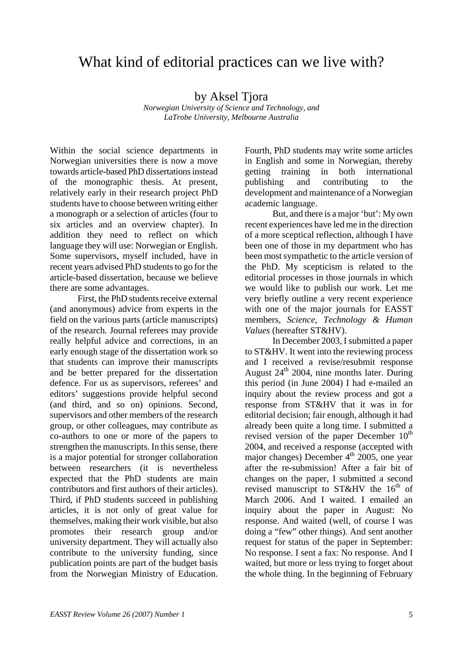## What kind of editorial practices can we live with?

#### by Aksel Tjora

*Norwegian University of Science and Technology, and LaTrobe University, Melbourne Australia* 

Within the social science departments in Norwegian universities there is now a move towards article-based PhD dissertations instead of the monographic thesis. At present, relatively early in their research project PhD students have to choose between writing either a monograph or a selection of articles (four to six articles and an overview chapter). In addition they need to reflect on which language they will use: Norwegian or English. Some supervisors, myself included, have in recent years advised PhD students to go for the article-based dissertation, because we believe there are some advantages.

First, the PhD students receive external (and anonymous) advice from experts in the field on the various parts (article manuscripts) of the research. Journal referees may provide really helpful advice and corrections, in an early enough stage of the dissertation work so that students can improve their manuscripts and be better prepared for the dissertation defence. For us as supervisors, referees' and editors' suggestions provide helpful second (and third, and so on) opinions. Second, supervisors and other members of the research group, or other colleagues, may contribute as co-authors to one or more of the papers to strengthen the manuscripts. In this sense, there is a major potential for stronger collaboration between researchers (it is nevertheless expected that the PhD students are main contributors and first authors of their articles). Third, if PhD students succeed in publishing articles, it is not only of great value for themselves, making their work visible, but also promotes their research group and/or university department. They will actually also contribute to the university funding, since publication points are part of the budget basis from the Norwegian Ministry of Education.

Fourth, PhD students may write some articles in English and some in Norwegian, thereby getting training in both international publishing and contributing to the development and maintenance of a Norwegian academic language.

But, and there is a major 'but': My own recent experiences have led me in the direction of a more sceptical reflection, although I have been one of those in my department who has been most sympathetic to the article version of the PhD. My scepticism is related to the editorial processes in those journals in which we would like to publish our work. Let me very briefly outline a very recent experience with one of the major journals for EASST members, *Science, Technology & Human Values* (hereafter ST&HV).

In December 2003, I submitted a paper to ST&HV. It went into the reviewing process and I received a revise/resubmit response August  $24^{\text{th}}$  2004, nine months later. During this period (in June 2004) I had e-mailed an inquiry about the review process and got a response from ST&HV that it was in for editorial decision; fair enough, although it had already been quite a long time. I submitted a revised version of the paper December  $10<sup>th</sup>$ 2004, and received a response (accepted with major changes) December  $4<sup>th</sup>$  2005, one year after the re-submission! After a fair bit of changes on the paper, I submitted a second revised manuscript to ST&HV the  $16<sup>th</sup>$  of March 2006. And I waited. I emailed an inquiry about the paper in August: No response. And waited (well, of course I was doing a "few" other things). And sent another request for status of the paper in September: No response. I sent a fax: No response. And I waited, but more or less trying to forget about the whole thing. In the beginning of February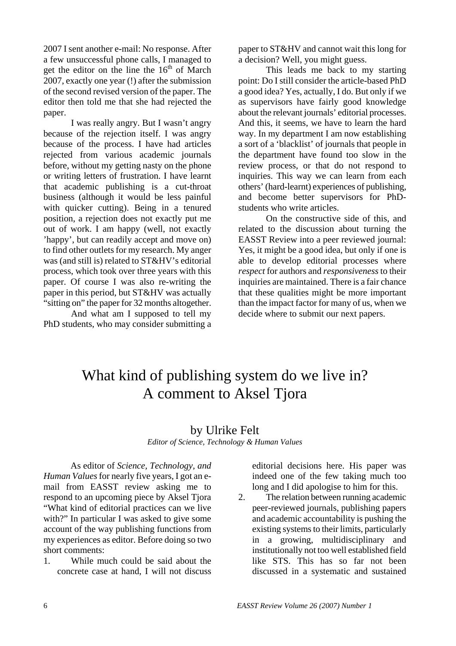2007 I sent another e-mail: No response. After a few unsuccessful phone calls, I managed to get the editor on the line the  $16<sup>th</sup>$  of March 2007, exactly one year (!) after the submission of the second revised version of the paper. The editor then told me that she had rejected the paper.

I was really angry. But I wasn't angry because of the rejection itself. I was angry because of the process. I have had articles rejected from various academic journals before, without my getting nasty on the phone or writing letters of frustration. I have learnt that academic publishing is a cut-throat business (although it would be less painful with quicker cutting). Being in a tenured position, a rejection does not exactly put me out of work. I am happy (well, not exactly 'happy', but can readily accept and move on) to find other outlets for my research. My anger was (and still is) related to ST&HV's editorial process, which took over three years with this paper. Of course I was also re-writing the paper in this period, but ST&HV was actually "sitting on" the paper for 32 months altogether.

And what am I supposed to tell my PhD students, who may consider submitting a paper to ST&HV and cannot wait this long for a decision? Well, you might guess.

This leads me back to my starting point: Do I still consider the article-based PhD a good idea? Yes, actually, I do. But only if we as supervisors have fairly good knowledge about the relevant journals' editorial processes. And this, it seems, we have to learn the hard way. In my department I am now establishing a sort of a 'blacklist' of journals that people in the department have found too slow in the review process, or that do not respond to inquiries. This way we can learn from each others' (hard-learnt) experiences of publishing, and become better supervisors for PhDstudents who write articles.

On the constructive side of this, and related to the discussion about turning the EASST Review into a peer reviewed journal: Yes, it might be a good idea, but only if one is able to develop editorial processes where *respect* for authors and *responsiveness* to their inquiries are maintained. There is a fair chance that these qualities might be more important than the impact factor for many of us, when we decide where to submit our next papers.

# What kind of publishing system do we live in? A comment to Aksel Tjora

#### by Ulrike Felt

*Editor of Science, Technology & Human Values* 

As editor of *Science, Technology, and Human Values* for nearly five years, I got an email from EASST review asking me to respond to an upcoming piece by Aksel Tjora "What kind of editorial practices can we live with?" In particular I was asked to give some account of the way publishing functions from my experiences as editor. Before doing so two short comments:

1. While much could be said about the concrete case at hand, I will not discuss

editorial decisions here. His paper was indeed one of the few taking much too long and I did apologise to him for this.

2. The relation between running academic peer-reviewed journals, publishing papers and academic accountability is pushing the existing systems to their limits, particularly in a growing, multidisciplinary and institutionally not too well established field like STS. This has so far not been discussed in a systematic and sustained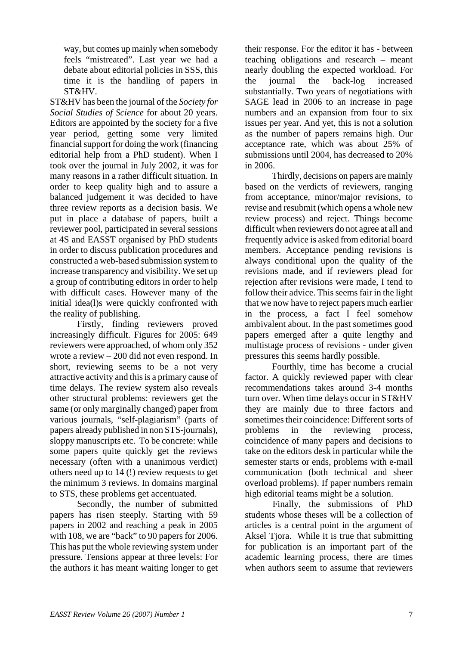way, but comes up mainly when somebody feels "mistreated". Last year we had a debate about editorial policies in SSS, this time it is the handling of papers in ST&HV.

ST&HV has been the journal of the *Society for Social Studies of Science* for about 20 years. Editors are appointed by the society for a five year period, getting some very limited financial support for doing the work (financing editorial help from a PhD student). When I took over the journal in July 2002, it was for many reasons in a rather difficult situation. In order to keep quality high and to assure a balanced judgement it was decided to have three review reports as a decision basis. We put in place a database of papers, built a reviewer pool, participated in several sessions at 4S and EASST organised by PhD students in order to discuss publication procedures and constructed a web-based submission system to increase transparency and visibility. We set up a group of contributing editors in order to help with difficult cases. However many of the initial idea(l)s were quickly confronted with the reality of publishing.

Firstly, finding reviewers proved increasingly difficult. Figures for 2005: 649 reviewers were approached, of whom only 352 wrote a review – 200 did not even respond. In short, reviewing seems to be a not very attractive activity and this is a primary cause of time delays. The review system also reveals other structural problems: reviewers get the same (or only marginally changed) paper from various journals, "self-plagiarism" (parts of papers already published in non STS-journals), sloppy manuscripts etc. To be concrete: while some papers quite quickly get the reviews necessary (often with a unanimous verdict) others need up to 14 (!) review requests to get the minimum 3 reviews. In domains marginal to STS, these problems get accentuated.

Secondly, the number of submitted papers has risen steeply. Starting with 59 papers in 2002 and reaching a peak in 2005 with 108, we are "back" to 90 papers for 2006. This has put the whole reviewing system under pressure. Tensions appear at three levels: For the authors it has meant waiting longer to get their response. For the editor it has - between teaching obligations and research – meant nearly doubling the expected workload. For the journal the back-log increased substantially. Two years of negotiations with SAGE lead in 2006 to an increase in page numbers and an expansion from four to six issues per year. And yet, this is not a solution as the number of papers remains high. Our acceptance rate, which was about 25% of submissions until 2004, has decreased to 20% in 2006.

Thirdly, decisions on papers are mainly based on the verdicts of reviewers, ranging from acceptance, minor/major revisions, to revise and resubmit (which opens a whole new review process) and reject. Things become difficult when reviewers do not agree at all and frequently advice is asked from editorial board members. Acceptance pending revisions is always conditional upon the quality of the revisions made, and if reviewers plead for rejection after revisions were made, I tend to follow their advice. This seems fair in the light that we now have to reject papers much earlier in the process, a fact I feel somehow ambivalent about. In the past sometimes good papers emerged after a quite lengthy and multistage process of revisions - under given pressures this seems hardly possible.

Fourthly, time has become a crucial factor. A quickly reviewed paper with clear recommendations takes around 3-4 months turn over. When time delays occur in ST&HV they are mainly due to three factors and sometimes their coincidence: Different sorts of problems in the reviewing process, coincidence of many papers and decisions to take on the editors desk in particular while the semester starts or ends, problems with e-mail communication (both technical and sheer overload problems). If paper numbers remain high editorial teams might be a solution.

 Finally, the submissions of PhD students whose theses will be a collection of articles is a central point in the argument of Aksel Tjora. While it is true that submitting for publication is an important part of the academic learning process, there are times when authors seem to assume that reviewers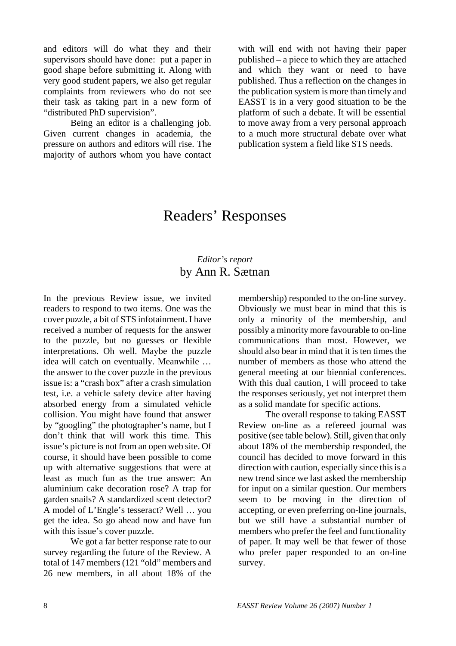and editors will do what they and their supervisors should have done: put a paper in good shape before submitting it. Along with very good student papers, we also get regular complaints from reviewers who do not see their task as taking part in a new form of "distributed PhD supervision".

Being an editor is a challenging job. Given current changes in academia, the pressure on authors and editors will rise. The majority of authors whom you have contact with will end with not having their paper published – a piece to which they are attached and which they want or need to have published. Thus a reflection on the changes in the publication system is more than timely and EASST is in a very good situation to be the platform of such a debate. It will be essential to move away from a very personal approach to a much more structural debate over what publication system a field like STS needs.

## Readers' Responses

#### *Editor's report*  by Ann R. Sætnan

In the previous Review issue, we invited readers to respond to two items. One was the cover puzzle, a bit of STS infotainment. I have received a number of requests for the answer to the puzzle, but no guesses or flexible interpretations. Oh well. Maybe the puzzle idea will catch on eventually. Meanwhile … the answer to the cover puzzle in the previous issue is: a "crash box" after a crash simulation test, i.e. a vehicle safety device after having absorbed energy from a simulated vehicle collision. You might have found that answer by "googling" the photographer's name, but I don't think that will work this time. This issue's picture is not from an open web site. Of course, it should have been possible to come up with alternative suggestions that were at least as much fun as the true answer: An aluminium cake decoration rose? A trap for garden snails? A standardized scent detector? A model of L'Engle's tesseract? Well … you get the idea. So go ahead now and have fun with this issue's cover puzzle.

We got a far better response rate to our survey regarding the future of the Review. A total of 147 members (121 "old" members and 26 new members, in all about 18% of the membership) responded to the on-line survey. Obviously we must bear in mind that this is only a minority of the membership, and possibly a minority more favourable to on-line communications than most. However, we should also bear in mind that it is ten times the number of members as those who attend the general meeting at our biennial conferences. With this dual caution, I will proceed to take the responses seriously, yet not interpret them as a solid mandate for specific actions.

The overall response to taking EASST Review on-line as a refereed journal was positive (see table below). Still, given that only about 18% of the membership responded, the council has decided to move forward in this direction with caution, especially since this is a new trend since we last asked the membership for input on a similar question. Our members seem to be moving in the direction of accepting, or even preferring on-line journals, but we still have a substantial number of members who prefer the feel and functionality of paper. It may well be that fewer of those who prefer paper responded to an on-line survey.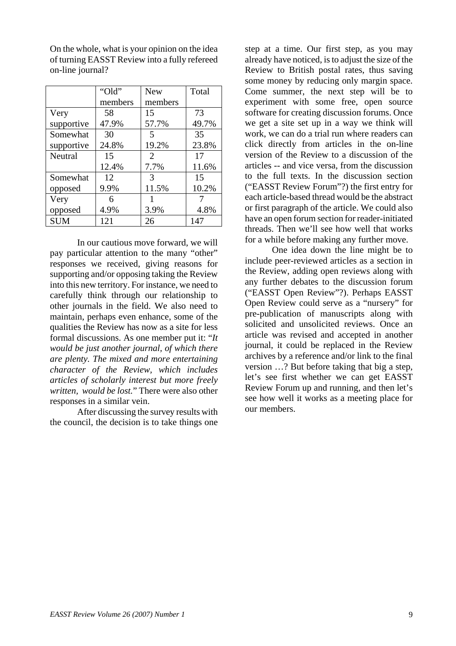|                | "Old"   | <b>New</b>                  | Total |
|----------------|---------|-----------------------------|-------|
|                | members | members                     |       |
| Very           | 58      | 15                          | 73    |
| supportive     | 47.9%   | 57.7%                       | 49.7% |
| Somewhat       | 30      | 5                           | 35    |
| supportive     | 24.8%   | 19.2%                       | 23.8% |
| <b>Neutral</b> | 15      | $\mathcal{D}_{\mathcal{L}}$ | 17    |
|                | 12.4%   | 7.7%                        | 11.6% |
| Somewhat       | 12      | 3                           | 15    |
| opposed        | 9.9%    | 11.5%                       | 10.2% |
| Very           | 6       |                             |       |
| opposed        | 4.9%    | 3.9%                        | 4.8%  |
| <b>SUM</b>     | 121     | 26                          | 147   |

On the whole, what is your opinion on the idea of turning EASST Review into a fully refereed on-line journal?

In our cautious move forward, we will pay particular attention to the many "other" responses we received, giving reasons for supporting and/or opposing taking the Review into this new territory. For instance, we need to carefully think through our relationship to other journals in the field. We also need to maintain, perhaps even enhance, some of the qualities the Review has now as a site for less formal discussions. As one member put it: "*It would be just another journal, of which there are plenty. The mixed and more entertaining character of the Review, which includes articles of scholarly interest but more freely written, would be lost.*" There were also other responses in a similar vein.

After discussing the survey results with the council, the decision is to take things one step at a time. Our first step, as you may already have noticed, is to adjust the size of the Review to British postal rates, thus saving some money by reducing only margin space. Come summer, the next step will be to experiment with some free, open source software for creating discussion forums. Once we get a site set up in a way we think will work, we can do a trial run where readers can click directly from articles in the on-line version of the Review to a discussion of the articles -- and vice versa, from the discussion to the full texts. In the discussion section ("EASST Review Forum"?) the first entry for each article-based thread would be the abstract or first paragraph of the article. We could also have an open forum section for reader-initiated threads. Then we'll see how well that works for a while before making any further move.

One idea down the line might be to include peer-reviewed articles as a section in the Review, adding open reviews along with any further debates to the discussion forum ("EASST Open Review"?). Perhaps EASST Open Review could serve as a "nursery" for pre-publication of manuscripts along with solicited and unsolicited reviews. Once an article was revised and accepted in another journal, it could be replaced in the Review archives by a reference and/or link to the final version …? But before taking that big a step, let's see first whether we can get EASST Review Forum up and running, and then let's see how well it works as a meeting place for our members.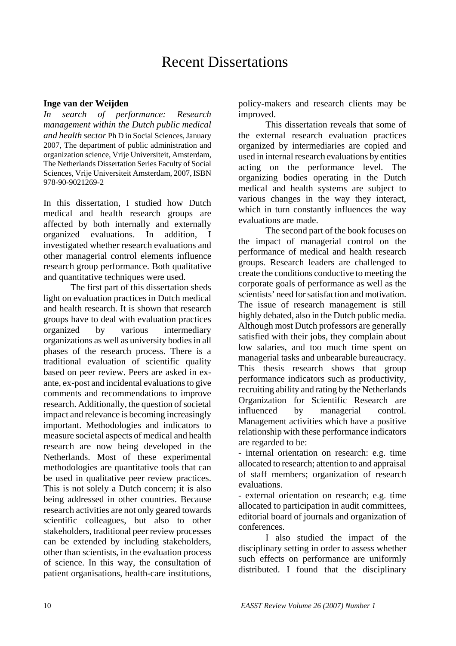## Recent Dissertations

#### **Inge van der Weijden**

*In search of performance: Research management within the Dutch public medical and health sector* Ph D in Social Sciences, January 2007, The department of public administration and organization science, Vrije Universiteit, Amsterdam, The Netherlands Dissertation Series Faculty of Social Sciences, Vrije Universiteit Amsterdam, 2007, ISBN 978-90-9021269-2

In this dissertation, I studied how Dutch medical and health research groups are affected by both internally and externally organized evaluations. In addition, I investigated whether research evaluations and other managerial control elements influence research group performance. Both qualitative and quantitative techniques were used.

The first part of this dissertation sheds light on evaluation practices in Dutch medical and health research. It is shown that research groups have to deal with evaluation practices organized by various intermediary organizations as well as university bodies in all phases of the research process. There is a traditional evaluation of scientific quality based on peer review. Peers are asked in exante, ex-post and incidental evaluations to give comments and recommendations to improve research. Additionally, the question of societal impact and relevance is becoming increasingly important. Methodologies and indicators to measure societal aspects of medical and health research are now being developed in the Netherlands. Most of these experimental methodologies are quantitative tools that can be used in qualitative peer review practices. This is not solely a Dutch concern; it is also being addressed in other countries. Because research activities are not only geared towards scientific colleagues, but also to other stakeholders, traditional peer review processes can be extended by including stakeholders, other than scientists, in the evaluation process of science. In this way, the consultation of patient organisations, health-care institutions, policy-makers and research clients may be improved.

This dissertation reveals that some of the external research evaluation practices organized by intermediaries are copied and used in internal research evaluations by entities acting on the performance level. The organizing bodies operating in the Dutch medical and health systems are subject to various changes in the way they interact, which in turn constantly influences the way evaluations are made.

The second part of the book focuses on the impact of managerial control on the performance of medical and health research groups. Research leaders are challenged to create the conditions conductive to meeting the corporate goals of performance as well as the scientists' need for satisfaction and motivation. The issue of research management is still highly debated, also in the Dutch public media. Although most Dutch professors are generally satisfied with their jobs, they complain about low salaries, and too much time spent on managerial tasks and unbearable bureaucracy. This thesis research shows that group performance indicators such as productivity, recruiting ability and rating by the Netherlands Organization for Scientific Research are influenced by managerial control. Management activities which have a positive relationship with these performance indicators are regarded to be:

- internal orientation on research: e.g. time allocated to research; attention to and appraisal of staff members; organization of research evaluations.

- external orientation on research; e.g. time allocated to participation in audit committees, editorial board of journals and organization of conferences.

I also studied the impact of the disciplinary setting in order to assess whether such effects on performance are uniformly distributed. I found that the disciplinary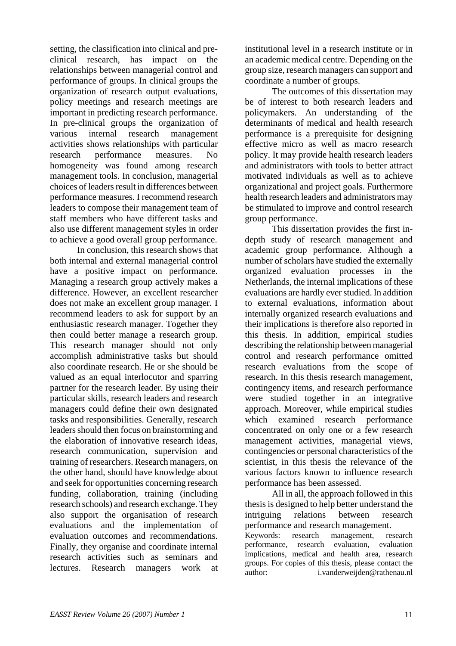setting, the classification into clinical and preclinical research, has impact on the relationships between managerial control and performance of groups. In clinical groups the organization of research output evaluations, policy meetings and research meetings are important in predicting research performance. In pre-clinical groups the organization of various internal research management activities shows relationships with particular research performance measures. No homogeneity was found among research management tools. In conclusion, managerial choices of leaders result in differences between performance measures. I recommend research leaders to compose their management team of staff members who have different tasks and also use different management styles in order to achieve a good overall group performance.

In conclusion, this research shows that both internal and external managerial control have a positive impact on performance. Managing a research group actively makes a difference. However, an excellent researcher does not make an excellent group manager. I recommend leaders to ask for support by an enthusiastic research manager. Together they then could better manage a research group. This research manager should not only accomplish administrative tasks but should also coordinate research. He or she should be valued as an equal interlocutor and sparring partner for the research leader. By using their particular skills, research leaders and research managers could define their own designated tasks and responsibilities. Generally, research leaders should then focus on brainstorming and the elaboration of innovative research ideas, research communication, supervision and training of researchers. Research managers, on the other hand, should have knowledge about and seek for opportunities concerning research funding, collaboration, training (including research schools) and research exchange. They also support the organisation of research evaluations and the implementation of evaluation outcomes and recommendations. Finally, they organise and coordinate internal research activities such as seminars and lectures. Research managers work at

institutional level in a research institute or in an academic medical centre. Depending on the group size, research managers can support and coordinate a number of groups.

The outcomes of this dissertation may be of interest to both research leaders and policymakers. An understanding of the determinants of medical and health research performance is a prerequisite for designing effective micro as well as macro research policy. It may provide health research leaders and administrators with tools to better attract motivated individuals as well as to achieve organizational and project goals. Furthermore health research leaders and administrators may be stimulated to improve and control research group performance.

This dissertation provides the first indepth study of research management and academic group performance. Although a number of scholars have studied the externally organized evaluation processes in the Netherlands, the internal implications of these evaluations are hardly ever studied. In addition to external evaluations, information about internally organized research evaluations and their implications is therefore also reported in this thesis. In addition, empirical studies describing the relationship between managerial control and research performance omitted research evaluations from the scope of research. In this thesis research management, contingency items, and research performance were studied together in an integrative approach. Moreover, while empirical studies which examined research performance concentrated on only one or a few research management activities, managerial views, contingencies or personal characteristics of the scientist, in this thesis the relevance of the various factors known to influence research performance has been assessed.

All in all, the approach followed in this thesis is designed to help better understand the intriguing relations between research performance and research management. Keywords: research management, research

performance, research evaluation, evaluation implications, medical and health area, research groups. For copies of this thesis, please contact the author: i.vanderweijden@rathenau.nl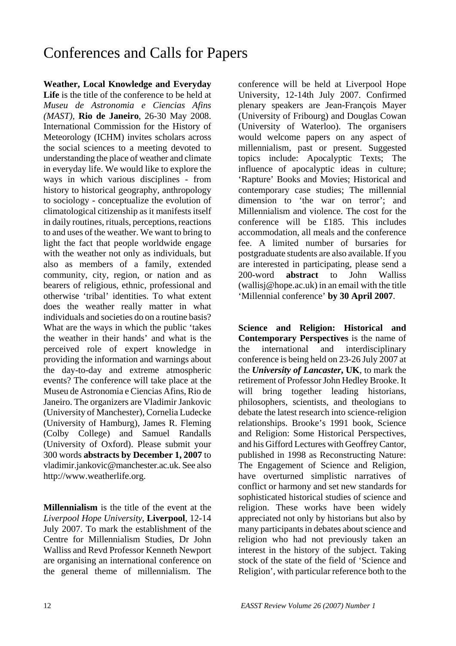# Conferences and Calls for Papers

**Weather, Local Knowledge and Everyday Life** is the title of the conference to be held at *Museu de Astronomia e Ciencias Afins (MAST)*, **Rio de Janeiro**, 26-30 May 2008. International Commission for the History of Meteorology (ICHM) invites scholars across the social sciences to a meeting devoted to understanding the place of weather and climate in everyday life. We would like to explore the ways in which various disciplines - from history to historical geography, anthropology to sociology - conceptualize the evolution of climatological citizenship as it manifests itself in daily routines, rituals, perceptions, reactions to and uses of the weather. We want to bring to light the fact that people worldwide engage with the weather not only as individuals, but also as members of a family, extended community, city, region, or nation and as bearers of religious, ethnic, professional and otherwise 'tribal' identities. To what extent does the weather really matter in what individuals and societies do on a routine basis? What are the ways in which the public 'takes the weather in their hands' and what is the perceived role of expert knowledge in providing the information and warnings about the day-to-day and extreme atmospheric events? The conference will take place at the Museu de Astronomia e Ciencias Afins, Rio de Janeiro. The organizers are Vladimir Jankovic (University of Manchester), Cornelia Ludecke (University of Hamburg), James R. Fleming (Colby College) and Samuel Randalls (University of Oxford). Please submit your 300 words **abstracts by December 1, 2007** to vladimir.jankovic@manchester.ac.uk. See also http://www.weatherlife.org.

**Millennialism** is the title of the event at the *Liverpool Hope University*, **Liverpool**, 12-14 July 2007. To mark the establishment of the Centre for Millennialism Studies, Dr John Walliss and Revd Professor Kenneth Newport are organising an international conference on the general theme of millennialism. The

conference will be held at Liverpool Hope University, 12-14th July 2007. Confirmed plenary speakers are Jean-François Mayer (University of Fribourg) and Douglas Cowan (University of Waterloo). The organisers would welcome papers on any aspect of millennialism, past or present. Suggested topics include: Apocalyptic Texts; The influence of apocalyptic ideas in culture; 'Rapture' Books and Movies; Historical and contemporary case studies; The millennial dimension to 'the war on terror'; and Millennialism and violence. The cost for the conference will be £185. This includes accommodation, all meals and the conference fee. A limited number of bursaries for postgraduate students are also available. If you are interested in participating, please send a 200-word **abstract** to John Walliss (wallisj@hope.ac.uk) in an email with the title 'Millennial conference' **by 30 April 2007**.

**Science and Religion: Historical and Contemporary Perspectives** is the name of the international and interdisciplinary conference is being held on 23-26 July 2007 at the *University of Lancaster***, UK**, to mark the retirement of Professor John Hedley Brooke. It will bring together leading historians, philosophers, scientists, and theologians to debate the latest research into science-religion relationships. Brooke's 1991 book, Science and Religion: Some Historical Perspectives, and his Gifford Lectures with Geoffrey Cantor, published in 1998 as Reconstructing Nature: The Engagement of Science and Religion, have overturned simplistic narratives of conflict or harmony and set new standards for sophisticated historical studies of science and religion. These works have been widely appreciated not only by historians but also by many participants in debates about science and religion who had not previously taken an interest in the history of the subject. Taking stock of the state of the field of 'Science and Religion', with particular reference both to the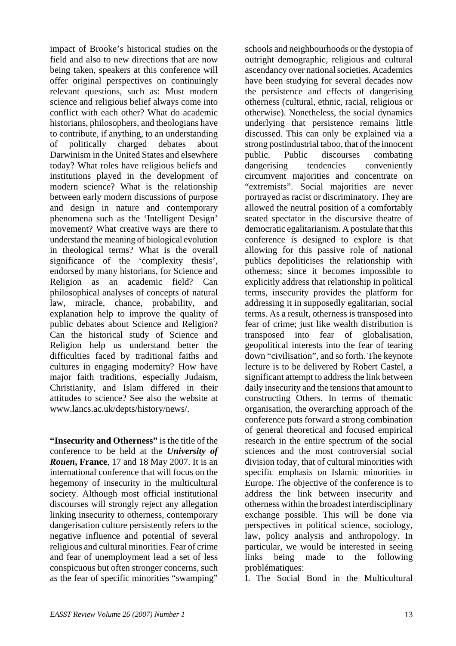impact of Brooke's historical studies on the field and also to new directions that are now being taken, speakers at this conference will offer original perspectives on continuingly relevant questions, such as: Must modern science and religious belief always come into conflict with each other? What do academic historians, philosophers, and theologians have to contribute, if anything, to an understanding of politically charged debates about Darwinism in the United States and elsewhere today? What roles have religious beliefs and institutions played in the development of modern science? What is the relationship between early modern discussions of purpose and design in nature and contemporary phenomena such as the 'Intelligent Design' movement? What creative ways are there to understand the meaning of biological evolution in theological terms? What is the overall significance of the 'complexity thesis', endorsed by many historians, for Science and Religion as an academic field? Can philosophical analyses of concepts of natural law, miracle, chance, probability, and explanation help to improve the quality of public debates about Science and Religion? Can the historical study of Science and Religion help us understand better the difficulties faced by traditional faiths and cultures in engaging modernity? How have major faith traditions, especially Judaism, Christianity, and Islam differed in their attitudes to science? See also the website at www.lancs.ac.uk/depts/history/news/.

**"Insecurity and Otherness"** is the title of the conference to be held at the *University of Rouen***, France**, 17 and 18 May 2007. It is an international conference that will focus on the hegemony of insecurity in the multicultural society. Although most official institutional discourses will strongly reject any allegation linking insecurity to otherness, contemporary dangerisation culture persistently refers to the negative influence and potential of several religious and cultural minorities. Fear of crime and fear of unemployment lead a set of less conspicuous but often stronger concerns, such as the fear of specific minorities "swamping"

schools and neighbourhoods or the dystopia of outright demographic, religious and cultural ascendancy over national societies. Academics have been studying for several decades now the persistence and effects of dangerising otherness (cultural, ethnic, racial, religious or otherwise). Nonetheless, the social dynamics underlying that persistence remains little discussed. This can only be explained via a strong postindustrial taboo, that of the innocent public. Public discourses combating dangerising tendencies conveniently circumvent majorities and concentrate on "extremists". Social majorities are never portrayed as racist or discriminatory. They are allowed the neutral position of a comfortably seated spectator in the discursive theatre of democratic egalitarianism. A postulate that this conference is designed to explore is that allowing for this passive role of national publics depoliticises the relationship with otherness; since it becomes impossible to explicitly address that relationship in political terms, insecurity provides the platform for addressing it in supposedly egalitarian, social terms. As a result, otherness is transposed into fear of crime; just like wealth distribution is transposed into fear of globalisation, geopolitical interests into the fear of tearing down "civilisation", and so forth. The keynote lecture is to be delivered by Robert Castel, a significant attempt to address the link between daily insecurity and the tensions that amount to constructing Others. In terms of thematic organisation, the overarching approach of the conference puts forward a strong combination of general theoretical and focused empirical research in the entire spectrum of the social sciences and the most controversial social division today, that of cultural minorities with specific emphasis on Islamic minorities in Europe. The objective of the conference is to address the link between insecurity and otherness within the broadest interdisciplinary exchange possible. This will be done via perspectives in political science, sociology, law, policy analysis and anthropology. In particular, we would be interested in seeing links being made to the following problématiques:

I. The Social Bond in the Multicultural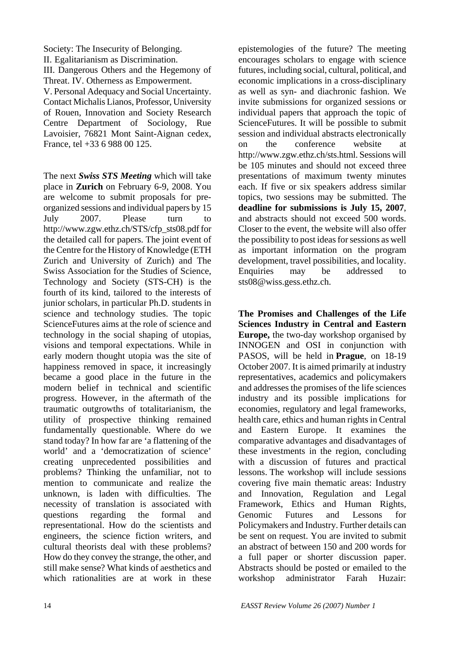Society: The Insecurity of Belonging. II. Egalitarianism as Discrimination. III. Dangerous Others and the Hegemony of Threat. IV. Otherness as Empowerment. V. Personal Adequacy and Social Uncertainty. Contact Michalis Lianos, Professor, University of Rouen, Innovation and Society Research Centre Department of Sociology, Rue Lavoisier, 76821 Mont Saint-Aignan cedex, France, tel +33 6 988 00 125.

The next *Swiss STS Meeting* which will take place in **Zurich** on February 6-9, 2008. You are welcome to submit proposals for preorganized sessions and individual papers by 15 July 2007. Please turn to http://www.zgw.ethz.ch/STS/cfp\_sts08.pdf for the detailed call for papers. The joint event of the Centre for the History of Knowledge (ETH Zurich and University of Zurich) and The Swiss Association for the Studies of Science, Technology and Society (STS-CH) is the fourth of its kind, tailored to the interests of junior scholars, in particular Ph.D. students in science and technology studies. The topic ScienceFutures aims at the role of science and technology in the social shaping of utopias, visions and temporal expectations. While in early modern thought utopia was the site of happiness removed in space, it increasingly became a good place in the future in the modern belief in technical and scientific progress. However, in the aftermath of the traumatic outgrowths of totalitarianism, the utility of prospective thinking remained fundamentally questionable. Where do we stand today? In how far are 'a flattening of the world' and a 'democratization of science' creating unprecedented possibilities and problems? Thinking the unfamiliar, not to mention to communicate and realize the unknown, is laden with difficulties. The necessity of translation is associated with questions regarding the formal and representational. How do the scientists and engineers, the science fiction writers, and cultural theorists deal with these problems? How do they convey the strange, the other, and still make sense? What kinds of aesthetics and which rationalities are at work in these

epistemologies of the future? The meeting encourages scholars to engage with science futures, including social, cultural, political, and economic implications in a cross-disciplinary as well as syn- and diachronic fashion. We invite submissions for organized sessions or individual papers that approach the topic of ScienceFutures. It will be possible to submit session and individual abstracts electronically on the conference website at http://www.zgw.ethz.ch/sts.html. Sessions will be 105 minutes and should not exceed three presentations of maximum twenty minutes each. If five or six speakers address similar topics, two sessions may be submitted. The **deadline for submissions is July 15, 2007**, and abstracts should not exceed 500 words. Closer to the event, the website will also offer the possibility to post ideas for sessions as well as important information on the program development, travel possibilities, and locality. Enquiries may be addressed to sts08@wiss.gess.ethz.ch.

**The Promises and Challenges of the Life Sciences Industry in Central and Eastern Europe,** the two-day workshop organised by INNOGEN and OSI in conjunction with PASOS, will be held in **Prague**, on 18-19 October 2007. It is aimed primarily at industry representatives, academics and policymakers and addresses the promises of the life sciences industry and its possible implications for economies, regulatory and legal frameworks, health care, ethics and human rights in Central and Eastern Europe. It examines the comparative advantages and disadvantages of these investments in the region, concluding with a discussion of futures and practical lessons. The workshop will include sessions covering five main thematic areas: Industry and Innovation, Regulation and Legal Framework, Ethics and Human Rights, Genomic Futures and Lessons for Policymakers and Industry. Further details can be sent on request. You are invited to submit an abstract of between 150 and 200 words for a full paper or shorter discussion paper. Abstracts should be posted or emailed to the workshop administrator Farah Huzair: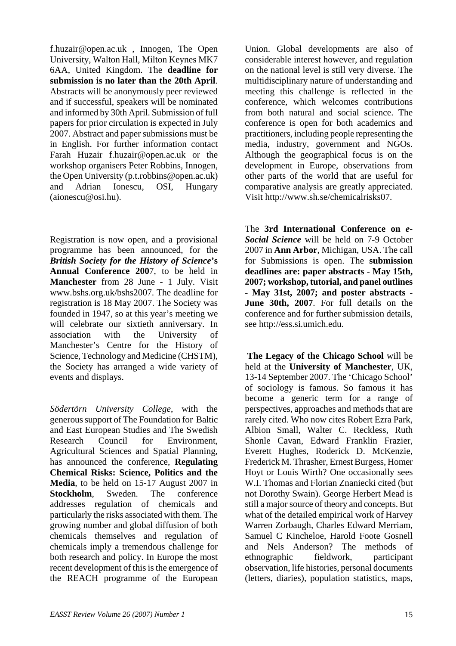f.huzair@open.ac.uk , Innogen, The Open University, Walton Hall, Milton Keynes MK7 6AA, United Kingdom. The **deadline for submission is no later than the 20th April**. Abstracts will be anonymously peer reviewed and if successful, speakers will be nominated and informed by 30th April. Submission of full papers for prior circulation is expected in July 2007. Abstract and paper submissions must be in English. For further information contact Farah Huzair f.huzair@open.ac.uk or the workshop organisers Peter Robbins, Innogen, the Open University (p.t.robbins@open.ac.uk) and Adrian Ionescu, OSI, Hungary (aionescu@osi.hu).

Registration is now open, and a provisional programme has been announced, for the *British Society for the History of Science***'s Annual Conference 200**7, to be held in **Manchester** from 28 June - 1 July. Visit www.bshs.org.uk/bshs2007. The deadline for registration is 18 May 2007. The Society was founded in 1947, so at this year's meeting we will celebrate our sixtieth anniversary. In association with the University of Manchester's Centre for the History of Science, Technology and Medicine (CHSTM), the Society has arranged a wide variety of events and displays.

*Södertörn University College*, with the generous support of The Foundation for Baltic and East European Studies and The Swedish Research Council for Environment, Agricultural Sciences and Spatial Planning, has announced the conference, **Regulating Chemical Risks: Science, Politics and the Media**, to be held on 15-17 August 2007 in **Stockholm**, Sweden. The conference addresses regulation of chemicals and particularly the risks associated with them. The growing number and global diffusion of both chemicals themselves and regulation of chemicals imply a tremendous challenge for both research and policy. In Europe the most recent development of this is the emergence of the REACH programme of the European

Union. Global developments are also of considerable interest however, and regulation on the national level is still very diverse. The multidisciplinary nature of understanding and meeting this challenge is reflected in the conference, which welcomes contributions from both natural and social science. The conference is open for both academics and practitioners, including people representing the media, industry, government and NGOs. Although the geographical focus is on the development in Europe, observations from other parts of the world that are useful for comparative analysis are greatly appreciated. Visit http://www.sh.se/chemicalrisks07.

The **3rd International Conference on** *e-Social Science* will be held on 7-9 October 2007 in **Ann Arbor**, Michigan, USA. The call for Submissions is open. The **submission deadlines are: paper abstracts - May 15th, 2007; workshop, tutorial, and panel outlines - May 31st, 2007; and poster abstracts - June 30th, 2007**. For full details on the conference and for further submission details, see http://ess.si.umich.edu.

**The Legacy of the Chicago School** will be held at the **University of Manchester**, UK, 13-14 September 2007. The 'Chicago School' of sociology is famous. So famous it has become a generic term for a range of perspectives, approaches and methods that are rarely cited. Who now cites Robert Ezra Park, Albion Small, Walter C. Reckless, Ruth Shonle Cavan, Edward Franklin Frazier, Everett Hughes, Roderick D. McKenzie, Frederick M. Thrasher, Ernest Burgess, Homer Hoyt or Louis Wirth? One occasionally sees W.I. Thomas and Florian Znaniecki cited (but not Dorothy Swain). George Herbert Mead is still a major source of theory and concepts. But what of the detailed empirical work of Harvey Warren Zorbaugh, Charles Edward Merriam, Samuel C Kincheloe, Harold Foote Gosnell and Nels Anderson? The methods of ethnographic fieldwork, participant observation, life histories, personal documents (letters, diaries), population statistics, maps,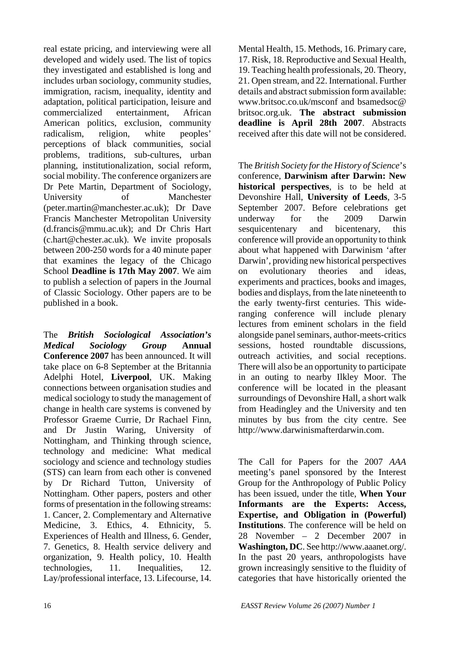real estate pricing, and interviewing were all developed and widely used. The list of topics they investigated and established is long and includes urban sociology, community studies, immigration, racism, inequality, identity and adaptation, political participation, leisure and commercialized entertainment, African American politics, exclusion, community radicalism, religion, white peoples' perceptions of black communities, social problems, traditions, sub-cultures, urban planning, institutionalization, social reform, social mobility. The conference organizers are Dr Pete Martin, Department of Sociology, University of Manchester (peter.martin@manchester.ac.uk); Dr Dave Francis Manchester Metropolitan University (d.francis@mmu.ac.uk); and Dr Chris Hart (c.hart@chester.ac.uk). We invite proposals between 200-250 words for a 40 minute paper that examines the legacy of the Chicago School **Deadline is 17th May 2007**. We aim to publish a selection of papers in the Journal of Classic Sociology. Other papers are to be published in a book.

The *British Sociological Association's Medical Sociology Group* **Annual Conference 2007** has been announced. It will take place on 6-8 September at the Britannia Adelphi Hotel, **Liverpool**, UK. Making connections between organisation studies and medical sociology to study the management of change in health care systems is convened by Professor Graeme Currie, Dr Rachael Finn, and Dr Justin Waring, University of Nottingham, and Thinking through science, technology and medicine: What medical sociology and science and technology studies (STS) can learn from each other is convened by Dr Richard Tutton, University of Nottingham. Other papers, posters and other forms of presentation in the following streams: 1. Cancer, 2. Complementary and Alternative Medicine, 3. Ethics, 4. Ethnicity, 5. Experiences of Health and Illness, 6. Gender, 7. Genetics, 8. Health service delivery and organization, 9. Health policy, 10. Health technologies, 11. Inequalities, 12. Lay/professional interface, 13. Lifecourse, 14. Mental Health, 15. Methods, 16. Primary care, 17. Risk, 18. Reproductive and Sexual Health, 19. Teaching health professionals, 20. Theory, 21. Open stream, and 22. International. Further details and abstract submission form available: www.britsoc.co.uk/msconf and bsamedsoc@ britsoc.org.uk. **The abstract submission deadline is April 28th 2007**. Abstracts received after this date will not be considered.

The *British Society for the History of Science*'s conference, **Darwinism after Darwin: New historical perspectives**, is to be held at Devonshire Hall, **University of Leeds**, 3-5 September 2007. Before celebrations get underway for the 2009 Darwin sesquicentenary and bicentenary, this conference will provide an opportunity to think about what happened with Darwinism 'after Darwin', providing new historical perspectives on evolutionary theories and ideas, experiments and practices, books and images, bodies and displays, from the late nineteenth to the early twenty-first centuries. This wideranging conference will include plenary lectures from eminent scholars in the field alongside panel seminars, author-meets-critics sessions, hosted roundtable discussions, outreach activities, and social receptions. There will also be an opportunity to participate in an outing to nearby Ilkley Moor. The conference will be located in the pleasant surroundings of Devonshire Hall, a short walk from Headingley and the University and ten minutes by bus from the city centre. See http://www.darwinismafterdarwin.com.

The Call for Papers for the 2007 *AAA* meeting's panel sponsored by the Interest Group for the Anthropology of Public Policy has been issued, under the title, **When Your Informants are the Experts: Access, Expertise, and Obligation in (Powerful) Institutions**. The conference will be held on 28 November – 2 December 2007 in **Washington, DC**. See http://www.aaanet.org/. In the past 20 years, anthropologists have grown increasingly sensitive to the fluidity of categories that have historically oriented the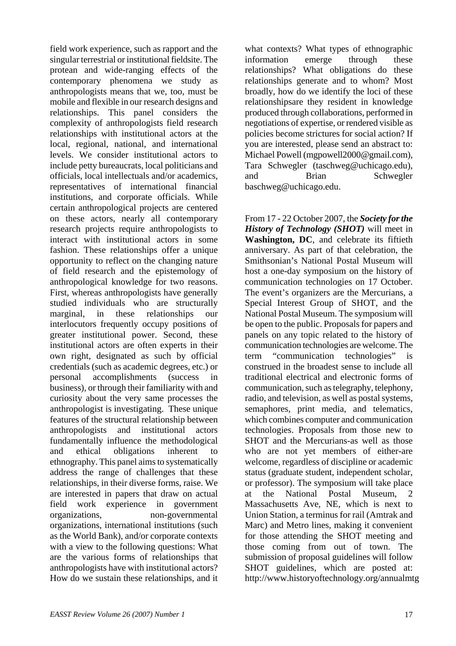field work experience, such as rapport and the singular terrestrial or institutional fieldsite. The protean and wide-ranging effects of the contemporary phenomena we study as anthropologists means that we, too, must be mobile and flexible in our research designs and relationships. This panel considers the complexity of anthropologists field research relationships with institutional actors at the local, regional, national, and international levels. We consider institutional actors to include petty bureaucrats, local politicians and officials, local intellectuals and/or academics, representatives of international financial institutions, and corporate officials. While certain anthropological projects are centered on these actors, nearly all contemporary research projects require anthropologists to interact with institutional actors in some fashion. These relationships offer a unique opportunity to reflect on the changing nature of field research and the epistemology of anthropological knowledge for two reasons. First, whereas anthropologists have generally studied individuals who are structurally marginal, in these relationships our interlocutors frequently occupy positions of greater institutional power. Second, these institutional actors are often experts in their own right, designated as such by official credentials (such as academic degrees, etc.) or personal accomplishments (success in business), or through their familiarity with and curiosity about the very same processes the anthropologist is investigating. These unique features of the structural relationship between anthropologists and institutional actors fundamentally influence the methodological and ethical obligations inherent to ethnography. This panel aims to systematically address the range of challenges that these relationships, in their diverse forms, raise. We are interested in papers that draw on actual field work experience in government organizations, non-governmental organizations, international institutions (such as the World Bank), and/or corporate contexts with a view to the following questions: What are the various forms of relationships that anthropologists have with institutional actors? How do we sustain these relationships, and it what contexts? What types of ethnographic information emerge through these relationships? What obligations do these relationships generate and to whom? Most broadly, how do we identify the loci of these relationshipsare they resident in knowledge produced through collaborations, performed in negotiations of expertise, or rendered visible as policies become strictures for social action? If you are interested, please send an abstract to: Michael Powell (mgpowell2000@gmail.com), Tara Schwegler (taschweg@uchicago.edu), and Brian Schwegler baschweg@uchicago.edu.

From 17 - 22 October 2007, the *Society for the History of Technology (SHOT)* will meet in **Washington, DC**, and celebrate its fiftieth anniversary. As part of that celebration, the Smithsonian's National Postal Museum will host a one-day symposium on the history of communication technologies on 17 October. The event's organizers are the Mercurians, a Special Interest Group of SHOT, and the National Postal Museum. The symposium will be open to the public. Proposals for papers and panels on any topic related to the history of communication technologies are welcome. The term "communication technologies" construed in the broadest sense to include all traditional electrical and electronic forms of communication, such as telegraphy, telephony, radio, and television, as well as postal systems, semaphores, print media, and telematics, which combines computer and communication technologies. Proposals from those new to SHOT and the Mercurians-as well as those who are not yet members of either-are welcome, regardless of discipline or academic status (graduate student, independent scholar, or professor). The symposium will take place at the National Postal Museum Massachusetts Ave, NE, which is next to Union Station, a terminus for rail (Amtrak and Marc) and Metro lines, making it convenient for those attending the SHOT meeting and those coming from out of town. The submission of proposal guidelines will follow SHOT guidelines, which are posted at: http://www.historyoftechnology.org/annualmtg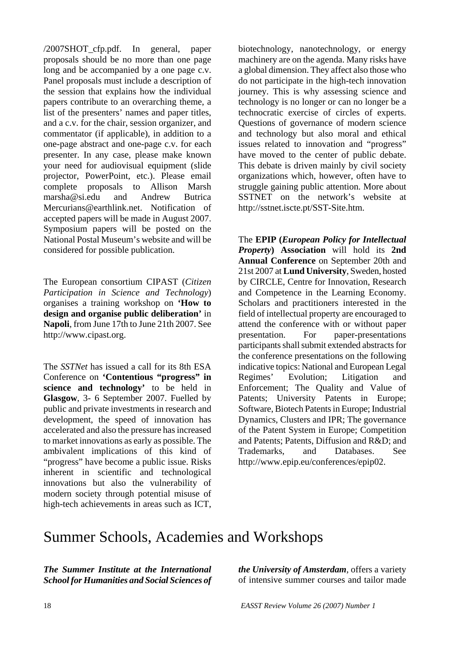/2007SHOT\_cfp.pdf. In general, paper proposals should be no more than one page long and be accompanied by a one page c.v. Panel proposals must include a description of the session that explains how the individual papers contribute to an overarching theme, a list of the presenters' names and paper titles, and a c.v. for the chair, session organizer, and commentator (if applicable), in addition to a one-page abstract and one-page c.v. for each presenter. In any case, please make known your need for audiovisual equipment (slide projector, PowerPoint, etc.). Please email complete proposals to Allison Marsh marsha@si.edu and Andrew Butrica Mercurians@earthlink.net. Notification of accepted papers will be made in August 2007. Symposium papers will be posted on the National Postal Museum's website and will be considered for possible publication.

The European consortium CIPAST (*Citizen Participation in Science and Technology*) organises a training workshop on **'How to design and organise public deliberation'** in **Napoli**, from June 17th to June 21th 2007. See http://www.cipast.org.

The *SSTNet* has issued a call for its 8th ESA Conference on **'Contentious "progress" in science and technology'** to be held in **Glasgow**, 3- 6 September 2007. Fuelled by public and private investments in research and development, the speed of innovation has accelerated and also the pressure has increased to market innovations as early as possible. The ambivalent implications of this kind of "progress" have become a public issue. Risks inherent in scientific and technological innovations but also the vulnerability of modern society through potential misuse of high-tech achievements in areas such as ICT,

biotechnology, nanotechnology, or energy machinery are on the agenda. Many risks have a global dimension. They affect also those who do not participate in the high-tech innovation journey. This is why assessing science and technology is no longer or can no longer be a technocratic exercise of circles of experts. Questions of governance of modern science and technology but also moral and ethical issues related to innovation and "progress" have moved to the center of public debate. This debate is driven mainly by civil society organizations which, however, often have to struggle gaining public attention. More about SSTNET on the network's website at http://sstnet.iscte.pt/SST-Site.htm.

The **EPIP (***European Policy for Intellectual Property***) Association** will hold its **2nd Annual Conference** on September 20th and 21st 2007 at **Lund University**, Sweden, hosted by CIRCLE, Centre for Innovation, Research and Competence in the Learning Economy. Scholars and practitioners interested in the field of intellectual property are encouraged to attend the conference with or without paper presentation. For paper-presentations participants shall submit extended abstracts for the conference presentations on the following indicative topics: National and European Legal Regimes' Evolution; Litigation and Enforcement; The Quality and Value of Patents; University Patents in Europe; Software, Biotech Patents in Europe; Industrial Dynamics, Clusters and IPR; The governance of the Patent System in Europe; Competition and Patents; Patents, Diffusion and R&D; and Trademarks, and Databases. See http://www.epip.eu/conferences/epip02.

## Summer Schools, Academies and Workshops

*The Summer Institute at the International School for Humanities and Social Sciences of*  *the University of Amsterdam*, offers a variety of intensive summer courses and tailor made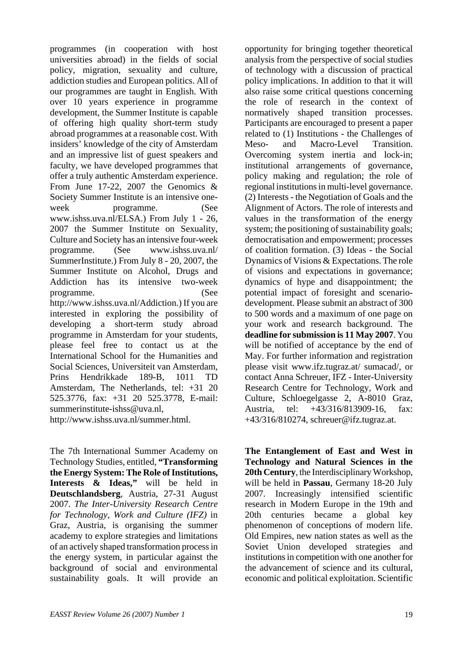programmes (in cooperation with host universities abroad) in the fields of social policy, migration, sexuality and culture, addiction studies and European politics. All of our programmes are taught in English. With over 10 years experience in programme development, the Summer Institute is capable of offering high quality short-term study abroad programmes at a reasonable cost. With insiders' knowledge of the city of Amsterdam and an impressive list of guest speakers and faculty, we have developed programmes that offer a truly authentic Amsterdam experience. From June 17-22, 2007 the Genomics & Society Summer Institute is an intensive oneweek programme. (See www.ishss.uva.nl/ELSA.) From July 1 - 26, 2007 the Summer Institute on Sexuality, Culture and Society has an intensive four-week programme. (See www.ishss.uva.nl/ SummerInstitute.) From July 8 - 20, 2007, the Summer Institute on Alcohol, Drugs and Addiction has its intensive two-week programme. (See http://www.ishss.uva.nl/Addiction.) If you are interested in exploring the possibility of developing a short-term study abroad programme in Amsterdam for your students, please feel free to contact us at the International School for the Humanities and Social Sciences, Universiteit van Amsterdam, Prins Hendrikkade 189-B, 1011 TD Amsterdam, The Netherlands, tel: +31 20 525.3776, fax: +31 20 525.3778, E-mail: summerinstitute-ishss@uva.nl, http://www.ishss.uva.nl/summer.html.

The 7th International Summer Academy on Technology Studies, entitled, **"Transforming the Energy System: The Role of Institutions, Interests & Ideas,"** will be held in **Deutschlandsberg**, Austria, 27-31 August 2007. *The Inter-University Research Centre for Technology, Work and Culture (IFZ)* in Graz, Austria, is organising the summer academy to explore strategies and limitations of an actively shaped transformation process in the energy system, in particular against the background of social and environmental sustainability goals. It will provide an

opportunity for bringing together theoretical analysis from the perspective of social studies of technology with a discussion of practical policy implications. In addition to that it will also raise some critical questions concerning the role of research in the context of normatively shaped transition processes. Participants are encouraged to present a paper related to (1) Institutions - the Challenges of Meso- and Macro-Level Transition. Overcoming system inertia and lock-in; institutional arrangements of governance, policy making and regulation; the role of regional institutions in multi-level governance. (2) Interests - the Negotiation of Goals and the Alignment of Actors. The role of interests and values in the transformation of the energy system; the positioning of sustainability goals; democratisation and empowerment; processes of coalition formation. (3) Ideas - the Social Dynamics of Visions & Expectations. The role of visions and expectations in governance; dynamics of hype and disappointment; the potential impact of foresight and scenariodevelopment. Please submit an abstract of 300 to 500 words and a maximum of one page on your work and research background. The **deadline for submission is 11 May 2007**. You will be notified of acceptance by the end of May. For further information and registration please visit www.ifz.tugraz.at/ sumacad/, or contact Anna Schreuer, IFZ - Inter-University Research Centre for Technology, Work and Culture, Schloegelgasse 2, A-8010 Graz, Austria, tel: +43/316/813909-16, fax: +43/316/810274, schreuer@ifz.tugraz.at.

**The Entanglement of East and West in Technology and Natural Sciences in the 20th Century**, the Interdisciplinary Workshop, will be held in **Passau**, Germany 18-20 July 2007. Increasingly intensified scientific research in Modern Europe in the 19th and 20th centuries became a global key phenomenon of conceptions of modern life. Old Empires, new nation states as well as the Soviet Union developed strategies and institutions in competition with one another for the advancement of science and its cultural, economic and political exploitation. Scientific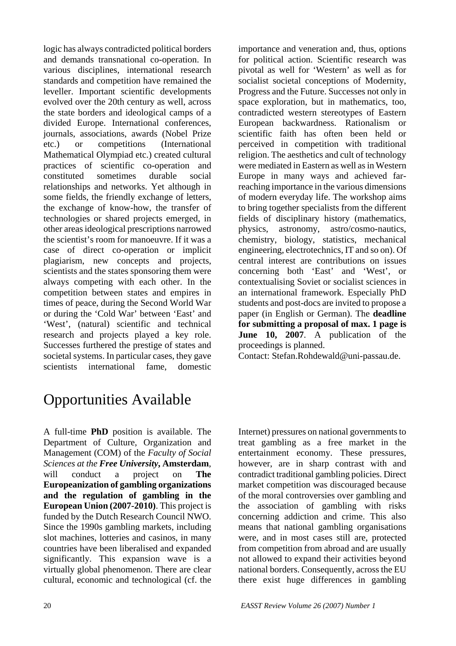logic has always contradicted political borders and demands transnational co-operation. In various disciplines, international research standards and competition have remained the leveller. Important scientific developments evolved over the 20th century as well, across the state borders and ideological camps of a divided Europe. International conferences, journals, associations, awards (Nobel Prize etc.) or competitions (International Mathematical Olympiad etc.) created cultural practices of scientific co-operation and constituted sometimes durable social relationships and networks. Yet although in some fields, the friendly exchange of letters, the exchange of know-how, the transfer of technologies or shared projects emerged, in other areas ideological prescriptions narrowed the scientist's room for manoeuvre. If it was a case of direct co-operation or implicit plagiarism, new concepts and projects, scientists and the states sponsoring them were always competing with each other. In the competition between states and empires in times of peace, during the Second World War or during the 'Cold War' between 'East' and 'West', (natural) scientific and technical research and projects played a key role. Successes furthered the prestige of states and societal systems. In particular cases, they gave scientists international fame, domestic

importance and veneration and, thus, options for political action. Scientific research was pivotal as well for 'Western' as well as for socialist societal conceptions of Modernity, Progress and the Future. Successes not only in space exploration, but in mathematics, too, contradicted western stereotypes of Eastern European backwardness. Rationalism or scientific faith has often been held or perceived in competition with traditional religion. The aesthetics and cult of technology were mediated in Eastern as well as in Western Europe in many ways and achieved farreaching importance in the various dimensions of modern everyday life. The workshop aims to bring together specialists from the different fields of disciplinary history (mathematics, physics, astronomy, astro/cosmo-nautics, chemistry, biology, statistics, mechanical engineering, electrotechnics, IT and so on). Of central interest are contributions on issues concerning both 'East' and 'West', or contextualising Soviet or socialist sciences in an international framework. Especially PhD students and post-docs are invited to propose a paper (in English or German). The **deadline for submitting a proposal of max. 1 page is June 10, 2007**. A publication of the proceedings is planned.

Contact: Stefan.Rohdewald@uni-passau.de.

# Opportunities Available

A full-time **PhD** position is available. The Department of Culture, Organization and Management (COM) of the *Faculty of Social Sciences at the Free University***, Amsterdam**, will conduct a project on **The Europeanization of gambling organizations and the regulation of gambling in the European Union (2007-2010)**. This project is funded by the Dutch Research Council NWO. Since the 1990s gambling markets, including slot machines, lotteries and casinos, in many countries have been liberalised and expanded significantly. This expansion wave is a virtually global phenomenon. There are clear cultural, economic and technological (cf. the Internet) pressures on national governments to treat gambling as a free market in the entertainment economy. These pressures, however, are in sharp contrast with and contradict traditional gambling policies. Direct market competition was discouraged because of the moral controversies over gambling and the association of gambling with risks concerning addiction and crime. This also means that national gambling organisations were, and in most cases still are, protected from competition from abroad and are usually not allowed to expand their activities beyond national borders. Consequently, across the EU there exist huge differences in gambling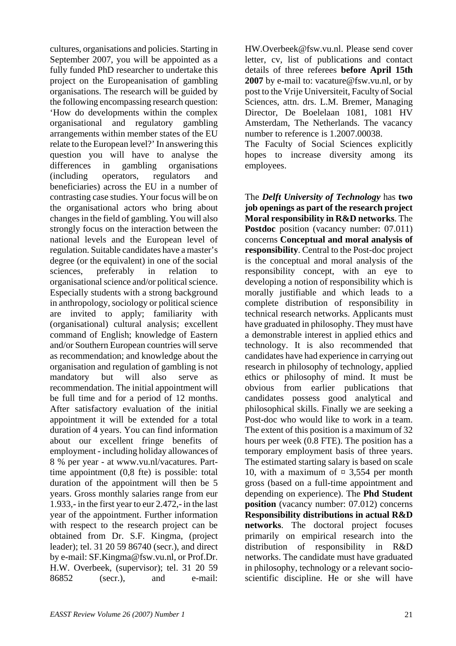cultures, organisations and policies. Starting in September 2007, you will be appointed as a fully funded PhD researcher to undertake this project on the Europeanisation of gambling organisations. The research will be guided by the following encompassing research question: 'How do developments within the complex organisational and regulatory gambling arrangements within member states of the EU relate to the European level?' In answering this question you will have to analyse the differences in gambling organisations (including operators, regulators and beneficiaries) across the EU in a number of contrasting case studies. Your focus will be on the organisational actors who bring about changes in the field of gambling. You will also strongly focus on the interaction between the national levels and the European level of regulation. Suitable candidates have a master's degree (or the equivalent) in one of the social sciences, preferably in relation to organisational science and/or political science. Especially students with a strong background in anthropology, sociology or political science are invited to apply; familiarity with (organisational) cultural analysis; excellent command of English; knowledge of Eastern and/or Southern European countries will serve as recommendation; and knowledge about the organisation and regulation of gambling is not mandatory but will also serve as recommendation. The initial appointment will be full time and for a period of 12 months. After satisfactory evaluation of the initial appointment it will be extended for a total duration of 4 years. You can find information about our excellent fringe benefits of employment - including holiday allowances of 8 % per year - at www.vu.nl/vacatures. Parttime appointment (0,8 fte) is possible: total duration of the appointment will then be 5 years. Gross monthly salaries range from eur 1.933,- in the first year to eur 2.472,- in the last year of the appointment. Further information with respect to the research project can be obtained from Dr. S.F. Kingma, (project leader); tel. 31 20 59 86740 (secr.), and direct by e-mail: SF.Kingma@fsw.vu.nl, or Prof.Dr. H.W. Overbeek, (supervisor); tel. 31 20 59 86852 (secr.), and e-mail:

HW.Overbeek@fsw.vu.nl. Please send cover letter, cv, list of publications and contact details of three referees **before April 15th 2007** by e-mail to: vacature@fsw.vu.nl, or by post to the Vrije Universiteit, Faculty of Social Sciences, attn. drs. L.M. Bremer, Managing Director, De Boelelaan 1081, 1081 HV Amsterdam, The Netherlands. The vacancy number to reference is 1.2007.00038.

The Faculty of Social Sciences explicitly hopes to increase diversity among its employees.

The *Delft University of Technology* has **two job openings as part of the research project Moral responsibility in R&D networks**. The **Postdoc** position (vacancy number: 07.011) concerns **Conceptual and moral analysis of responsibility**. Central to the Post-doc project is the conceptual and moral analysis of the responsibility concept, with an eye to developing a notion of responsibility which is morally justifiable and which leads to a complete distribution of responsibility in technical research networks. Applicants must have graduated in philosophy. They must have a demonstrable interest in applied ethics and technology. It is also recommended that candidates have had experience in carrying out research in philosophy of technology, applied ethics or philosophy of mind. It must be obvious from earlier publications that candidates possess good analytical and philosophical skills. Finally we are seeking a Post-doc who would like to work in a team. The extent of this position is a maximum of 32 hours per week (0.8 FTE). The position has a temporary employment basis of three years. The estimated starting salary is based on scale 10, with a maximum of  $\approx 3,554$  per month gross (based on a full-time appointment and depending on experience). The **Phd Student position** (vacancy number: 07.012) concerns **Responsibility distributions in actual R&D networks**. The doctoral project focuses primarily on empirical research into the distribution of responsibility in R&D networks. The candidate must have graduated in philosophy, technology or a relevant socioscientific discipline. He or she will have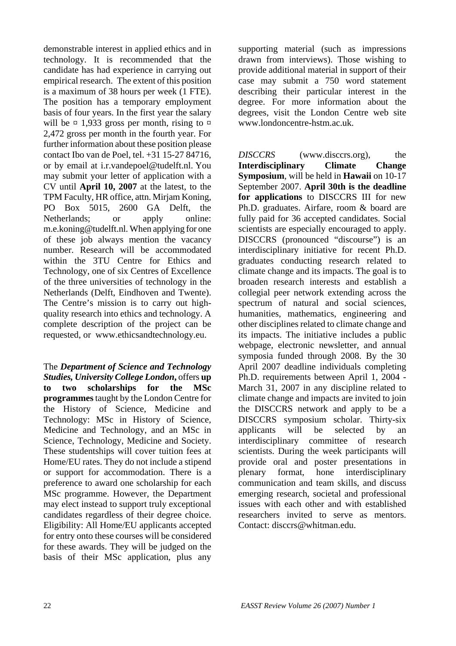demonstrable interest in applied ethics and in technology. It is recommended that the candidate has had experience in carrying out empirical research. The extent of this position is a maximum of 38 hours per week (1 FTE). The position has a temporary employment basis of four years. In the first year the salary will be  $\[\times\] 1,933$  gross per month, rising to  $\[\times\]$ 2,472 gross per month in the fourth year. For further information about these position please contact Ibo van de Poel, tel. +31 15-27 84716, or by email at i.r.vandepoel@tudelft.nl. You may submit your letter of application with a CV until **April 10, 2007** at the latest, to the TPM Faculty, HR office, attn. Mirjam Koning, PO Box 5015, 2600 GA Delft, the Netherlands; or apply online: m.e.koning@tudelft.nl. When applying for one of these job always mention the vacancy number. Research will be accommodated within the 3TU Centre for Ethics and Technology, one of six Centres of Excellence of the three universities of technology in the Netherlands (Delft, Eindhoven and Twente). The Centre's mission is to carry out highquality research into ethics and technology. A complete description of the project can be requested, or www.ethicsandtechnology.eu.

The *Department of Science and Technology Studies, University College London***,** offers **up to two scholarships for the MSc programmes** taught by the London Centre for the History of Science, Medicine and Technology: MSc in History of Science, Medicine and Technology, and an MSc in Science, Technology, Medicine and Society. These studentships will cover tuition fees at Home/EU rates. They do not include a stipend or support for accommodation. There is a preference to award one scholarship for each MSc programme. However, the Department may elect instead to support truly exceptional candidates regardless of their degree choice. Eligibility: All Home/EU applicants accepted for entry onto these courses will be considered for these awards. They will be judged on the basis of their MSc application, plus any

supporting material (such as impressions drawn from interviews). Those wishing to provide additional material in support of their case may submit a 750 word statement describing their particular interest in the degree. For more information about the degrees, visit the London Centre web site www.londoncentre-hstm.ac.uk.

*DISCCRS* (www.disccrs.org), the **Interdisciplinary Climate Change Symposium**, will be held in **Hawaii** on 10-17 September 2007. **April 30th is the deadline for applications** to DISCCRS III for new Ph.D. graduates. Airfare, room & board are fully paid for 36 accepted candidates. Social scientists are especially encouraged to apply. DISCCRS (pronounced "discourse") is an interdisciplinary initiative for recent Ph.D. graduates conducting research related to climate change and its impacts. The goal is to broaden research interests and establish a collegial peer network extending across the spectrum of natural and social sciences, humanities, mathematics, engineering and other disciplines related to climate change and its impacts. The initiative includes a public webpage, electronic newsletter, and annual symposia funded through 2008. By the 30 April 2007 deadline individuals completing Ph.D. requirements between April 1, 2004 - March 31, 2007 in any discipline related to climate change and impacts are invited to join the DISCCRS network and apply to be a DISCCRS symposium scholar. Thirty-six applicants will be selected by an interdisciplinary committee of research scientists. During the week participants will provide oral and poster presentations in plenary format, hone interdisciplinary communication and team skills, and discuss emerging research, societal and professional issues with each other and with established researchers invited to serve as mentors. Contact: disccrs@whitman.edu.